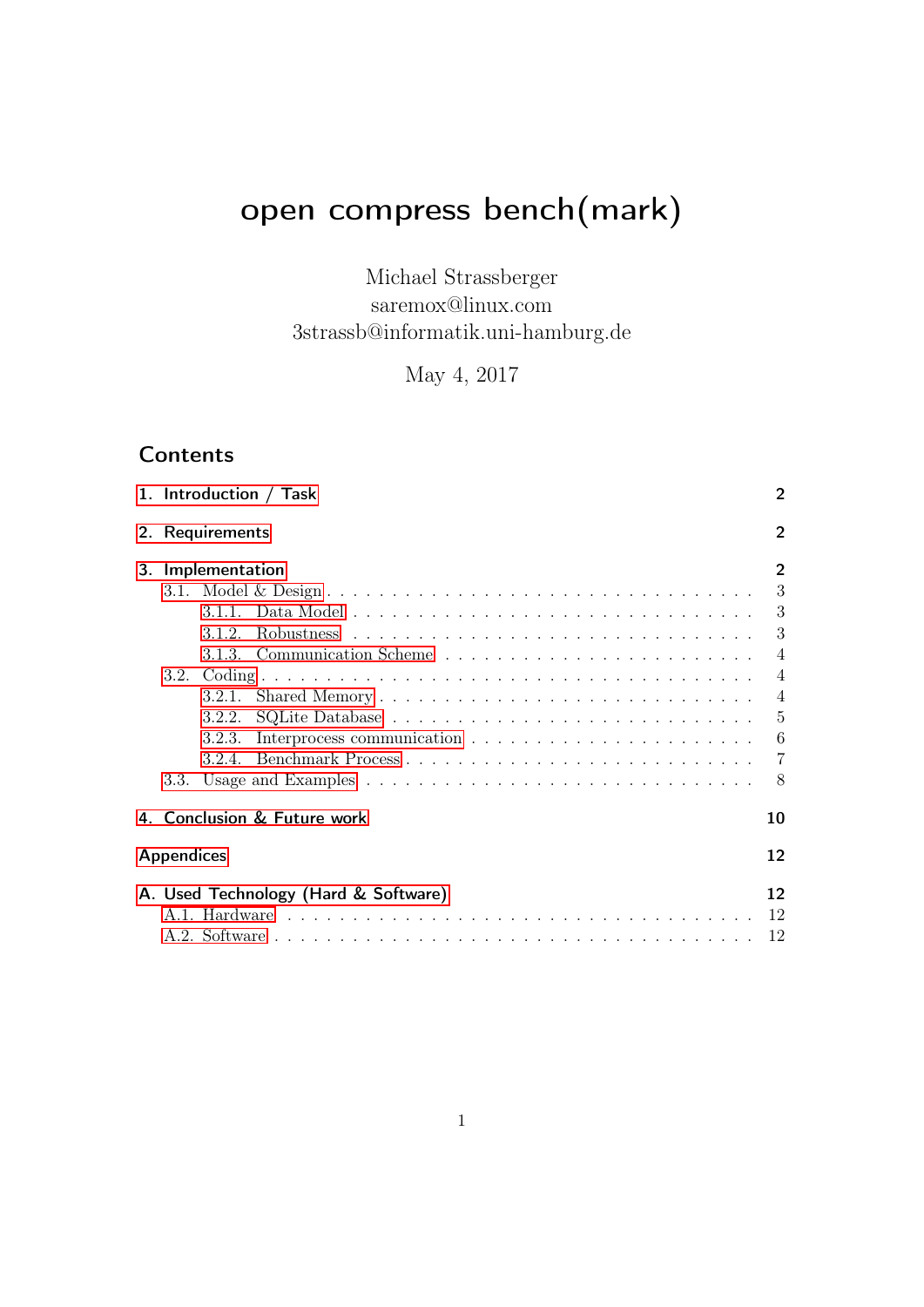# <span id="page-0-0"></span>open compress bench(mark)

Michael Strassberger saremox@linux.com 3strassb@informatik.uni-hamburg.de

May 4, 2017

# **Contents**

|  | 1. Introduction / Task<br>2. Requirements |        |                                      |                |  |  |  |  |  |
|--|-------------------------------------------|--------|--------------------------------------|----------------|--|--|--|--|--|
|  |                                           |        |                                      |                |  |  |  |  |  |
|  | 3. Implementation                         |        |                                      |                |  |  |  |  |  |
|  |                                           |        |                                      | 3              |  |  |  |  |  |
|  |                                           |        |                                      | 3              |  |  |  |  |  |
|  |                                           | 3.1.2. |                                      | 3              |  |  |  |  |  |
|  |                                           |        | 3.1.3. Communication Scheme          | $\overline{4}$ |  |  |  |  |  |
|  |                                           |        |                                      | $\overline{4}$ |  |  |  |  |  |
|  |                                           | 3.2.1. |                                      | $\overline{4}$ |  |  |  |  |  |
|  |                                           | 3.2.2. |                                      | 5              |  |  |  |  |  |
|  |                                           | 3.2.3. |                                      | 6              |  |  |  |  |  |
|  |                                           |        |                                      |                |  |  |  |  |  |
|  | 3.3.                                      |        |                                      | -8             |  |  |  |  |  |
|  |                                           |        | 4. Conclusion & Future work          | 10             |  |  |  |  |  |
|  | <b>Appendices</b>                         |        |                                      | 12             |  |  |  |  |  |
|  |                                           |        | A. Used Technology (Hard & Software) | 12             |  |  |  |  |  |
|  |                                           |        |                                      | 12             |  |  |  |  |  |
|  |                                           |        |                                      | 12             |  |  |  |  |  |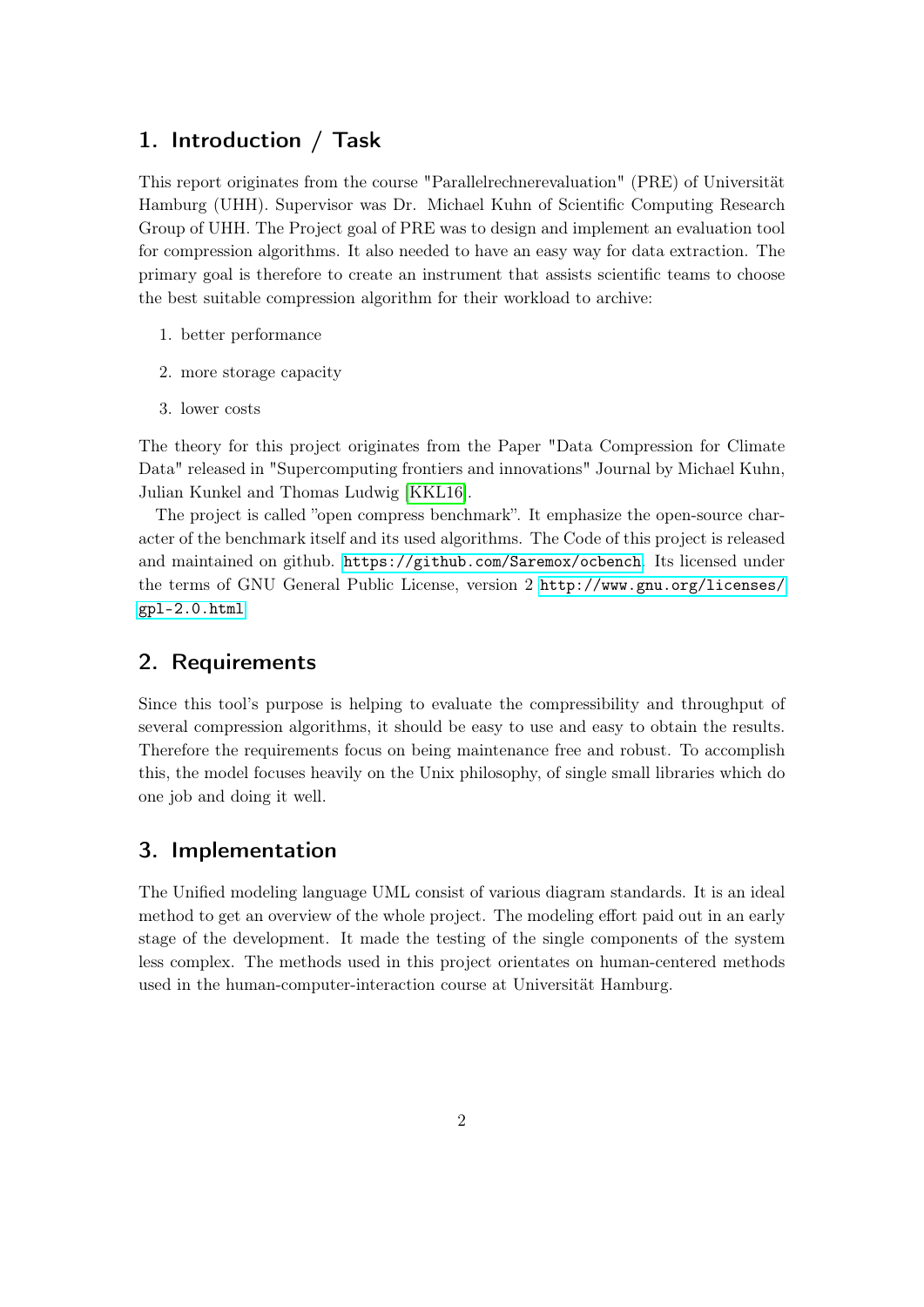## <span id="page-1-0"></span>1. Introduction / Task

This report originates from the course "Parallelrechnerevaluation" (PRE) of Universität Hamburg (UHH). Supervisor was Dr. Michael Kuhn of Scientific Computing Research Group of UHH. The Project goal of PRE was to design and implement an evaluation tool for compression algorithms. It also needed to have an easy way for data extraction. The primary goal is therefore to create an instrument that assists scientific teams to choose the best suitable compression algorithm for their workload to archive:

- 1. better performance
- 2. more storage capacity
- 3. lower costs

The theory for this project originates from the Paper "Data Compression for Climate Data" released in "Supercomputing frontiers and innovations" Journal by Michael Kuhn, Julian Kunkel and Thomas Ludwig [\[KKL16\]](#page-10-0).

The project is called "open compress benchmark". It emphasize the open-source character of the benchmark itself and its used algorithms. The Code of this project is released and maintained on github. <https://github.com/Saremox/ocbench>. Its licensed under the terms of GNU General Public License, version 2 [http://www.gnu.org/licenses/](http://www.gnu.org/licenses/gpl-2.0.html) [gpl-2.0.html](http://www.gnu.org/licenses/gpl-2.0.html)

## <span id="page-1-1"></span>2. Requirements

Since this tool's purpose is helping to evaluate the compressibility and throughput of several compression algorithms, it should be easy to use and easy to obtain the results. Therefore the requirements focus on being maintenance free and robust. To accomplish this, the model focuses heavily on the Unix philosophy, of single small libraries which do one job and doing it well.

## <span id="page-1-2"></span>3. Implementation

The Unified modeling language UML consist of various diagram standards. It is an ideal method to get an overview of the whole project. The modeling effort paid out in an early stage of the development. It made the testing of the single components of the system less complex. The methods used in this project orientates on human-centered methods used in the human-computer-interaction course at Universität Hamburg.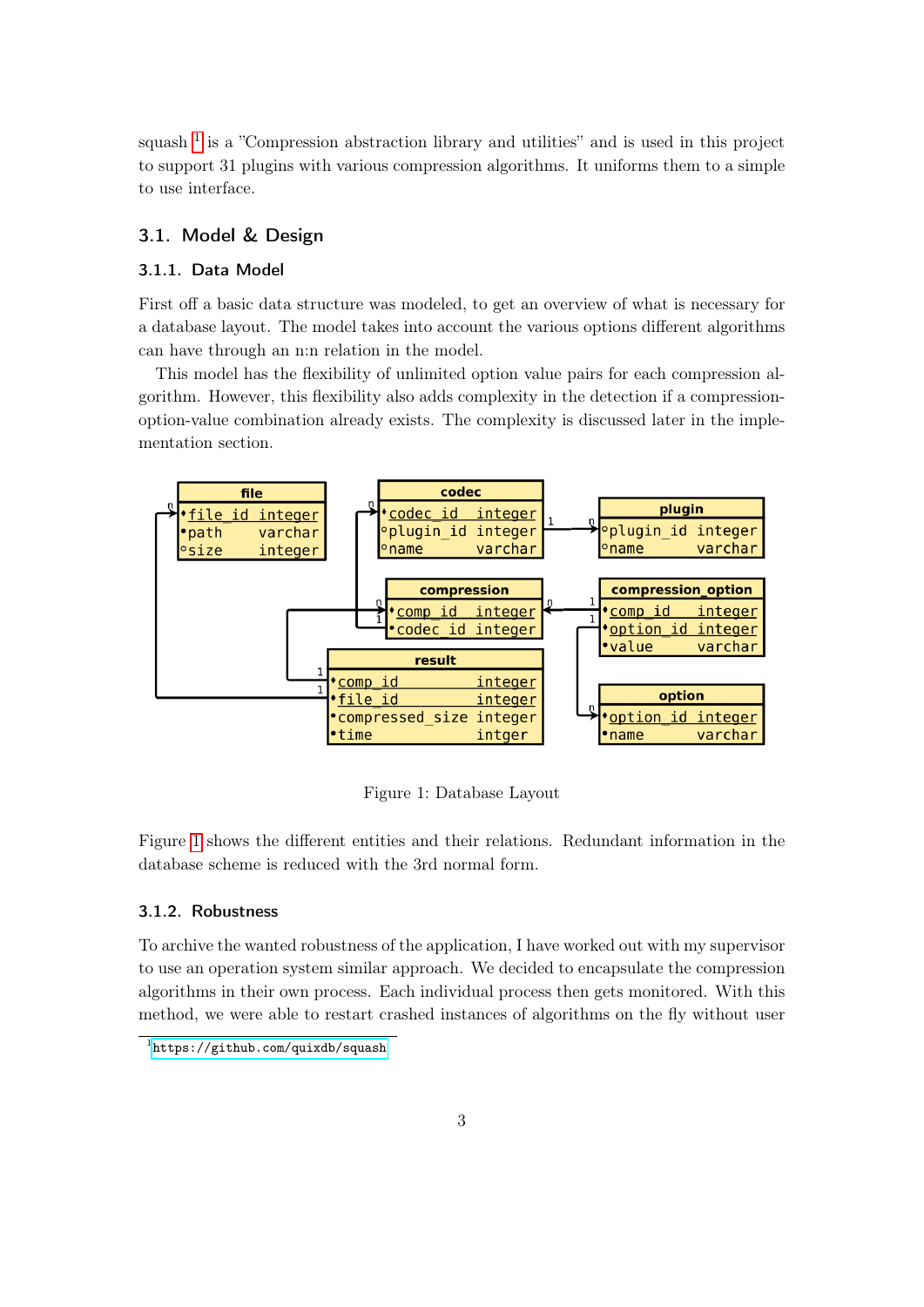squash  $<sup>1</sup>$  $<sup>1</sup>$  $<sup>1</sup>$  is a "Compression abstraction library and utilities" and is used in this project</sup> to support 31 plugins with various compression algorithms. It uniforms them to a simple to use interface.

### <span id="page-2-0"></span>3.1. Model & Design

#### <span id="page-2-1"></span>3.1.1. Data Model

First off a basic data structure was modeled, to get an overview of what is necessary for a database layout. The model takes into account the various options different algorithms can have through an n:n relation in the model.

This model has the flexibility of unlimited option value pairs for each compression algorithm. However, this flexibility also adds complexity in the detection if a compressionoption-value combination already exists. The complexity is discussed later in the implementation section.



<span id="page-2-3"></span>Figure 1: Database Layout

Figure [1](#page-2-3) shows the different entities and their relations. Redundant information in the database scheme is reduced with the 3rd normal form.

#### <span id="page-2-2"></span>3.1.2. Robustness

To archive the wanted robustness of the application, I have worked out with my supervisor to use an operation system similar approach. We decided to encapsulate the compression algorithms in their own process. Each individual process then gets monitored. With this method, we were able to restart crashed instances of algorithms on the fly without user

<sup>1</sup> <https://github.com/quixdb/squash>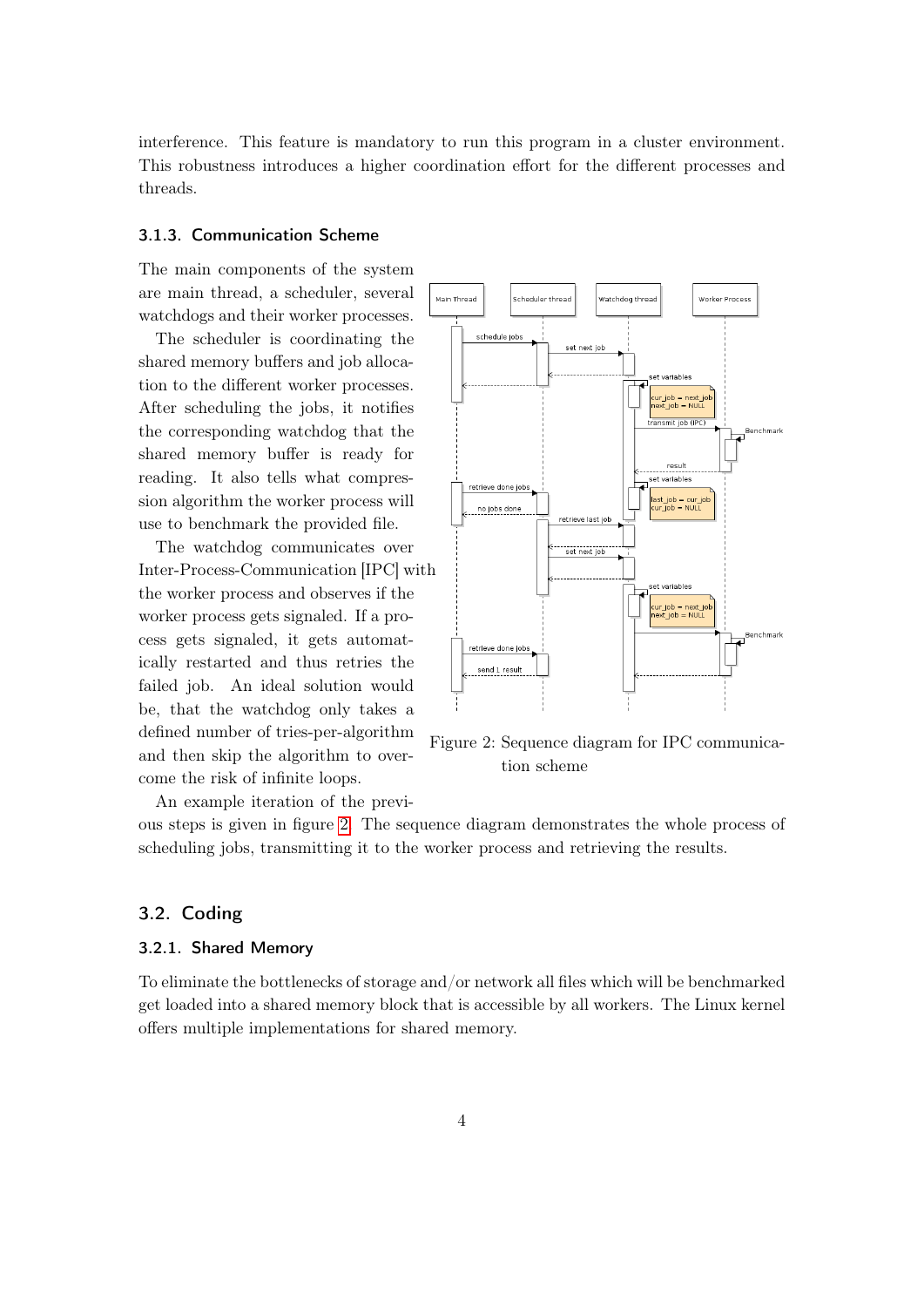interference. This feature is mandatory to run this program in a cluster environment. This robustness introduces a higher coordination effort for the different processes and threads.

#### <span id="page-3-0"></span>3.1.3. Communication Scheme

The main components of the system are main thread, a scheduler, several watchdogs and their worker processes.

The scheduler is coordinating the shared memory buffers and job allocation to the different worker processes. After scheduling the jobs, it notifies the corresponding watchdog that the shared memory buffer is ready for reading. It also tells what compression algorithm the worker process will use to benchmark the provided file.

The watchdog communicates over Inter-Process-Communication [IPC] with the worker process and observes if the worker process gets signaled. If a process gets signaled, it gets automatically restarted and thus retries the failed job. An ideal solution would be, that the watchdog only takes a defined number of tries-per-algorithm and then skip the algorithm to overcome the risk of infinite loops.



<span id="page-3-3"></span>Figure 2: Sequence diagram for IPC communication scheme

An example iteration of the previ-

ous steps is given in figure [2.](#page-3-3) The sequence diagram demonstrates the whole process of scheduling jobs, transmitting it to the worker process and retrieving the results.

#### <span id="page-3-1"></span>3.2. Coding

#### <span id="page-3-2"></span>3.2.1. Shared Memory

To eliminate the bottlenecks of storage and/or network all files which will be benchmarked get loaded into a shared memory block that is accessible by all workers. The Linux kernel offers multiple implementations for shared memory.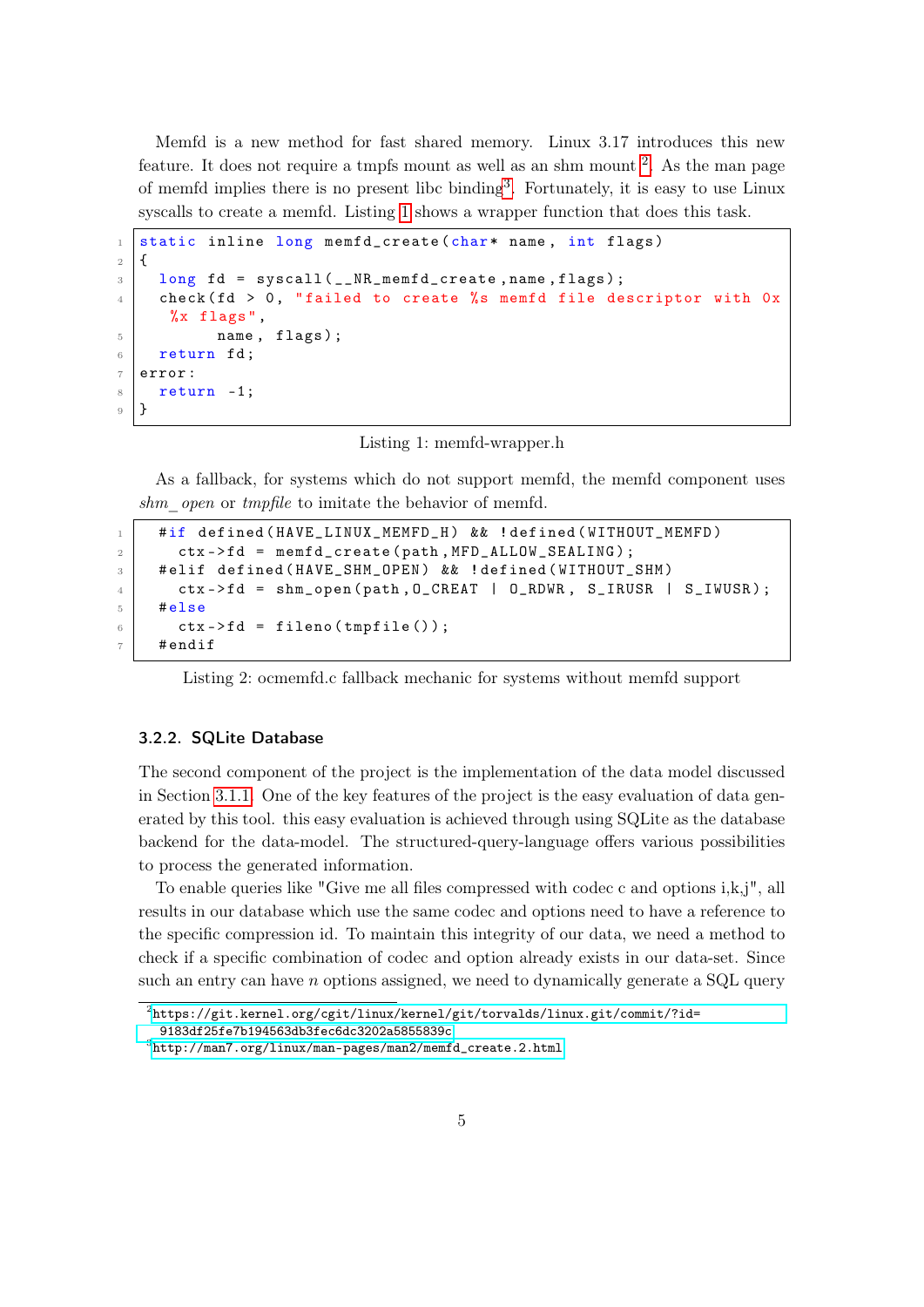Memfd is a new method for fast shared memory. Linux 3.17 introduces this new feature. It does not require a tmpfs mount as well as an shm mount  $2$ . As the man page of memfd implies there is no present libc binding[3](#page-0-0) . Fortunately, it is easy to use Linux syscalls to create a memfd. Listing [1](#page-4-1) shows a wrapper function that does this task.

```
1 static inline long memfd_create (char* name, int flags)
\overline{2}3 long fd = syscall ( _NR_memfd_create, name, flags);
4 check (fd > 0, "failed to create %s memfd file descriptor with 0x%x flags ",
5 name, flags);
6 return fd;
7 error:
8 return -1;
9 \mid \}
```
Listing 1: memfd-wrapper.h

As a fallback, for systems which do not support memfd, the memfd component uses shm open or tmpfile to imitate the behavior of memfd.

```
1 | #if defined (HAVE_LINUX_MEMFD_H) && ! defined (WITHOUT_MEMFD)
2 ctx->fd = memfd_create (path, MFD_ALLOW_SEALING);
3 # elif defined ( HAVE_SHM_OPEN ) && ! defined ( WITHOUT_SHM )
4 ctx ->fd = shm_open (path, O_CREAT | O_RDWR, S_IRUSR | S_IWUSR);
5 #else
6 ctx->fd = fileno (tmpfile ());
7 # endif
```
Listing 2: ocmemfd.c fallback mechanic for systems without memfd support

#### <span id="page-4-0"></span>3.2.2. SQLite Database

The second component of the project is the implementation of the data model discussed in Section [3.1.1.](#page-2-1) One of the key features of the project is the easy evaluation of data generated by this tool. this easy evaluation is achieved through using SQLite as the database backend for the data-model. The structured-query-language offers various possibilities to process the generated information.

To enable queries like "Give me all files compressed with codec c and options  $i, k, j$ ", all results in our database which use the same codec and options need to have a reference to the specific compression id. To maintain this integrity of our data, we need a method to check if a specific combination of codec and option already exists in our data-set. Since such an entry can have n options assigned, we need to dynamically generate a SQL query

 $^{2}$ [https://git.kernel.org/cgit/linux/kernel/git/torvalds/linux.git/commit/?id=](https://git.kernel.org/cgit/linux/kernel/git/torvalds/linux.git/commit/?id=9183df25fe7b194563db3fec6dc3202a5855839c) [9183df25fe7b194563db3fec6dc3202a5855839c](https://git.kernel.org/cgit/linux/kernel/git/torvalds/linux.git/commit/?id=9183df25fe7b194563db3fec6dc3202a5855839c)

 $^3$ [http://man7.org/linux/man-pages/man2/memfd\\_create.2.html](http://man7.org/linux/man-pages/man2/memfd_create.2.html)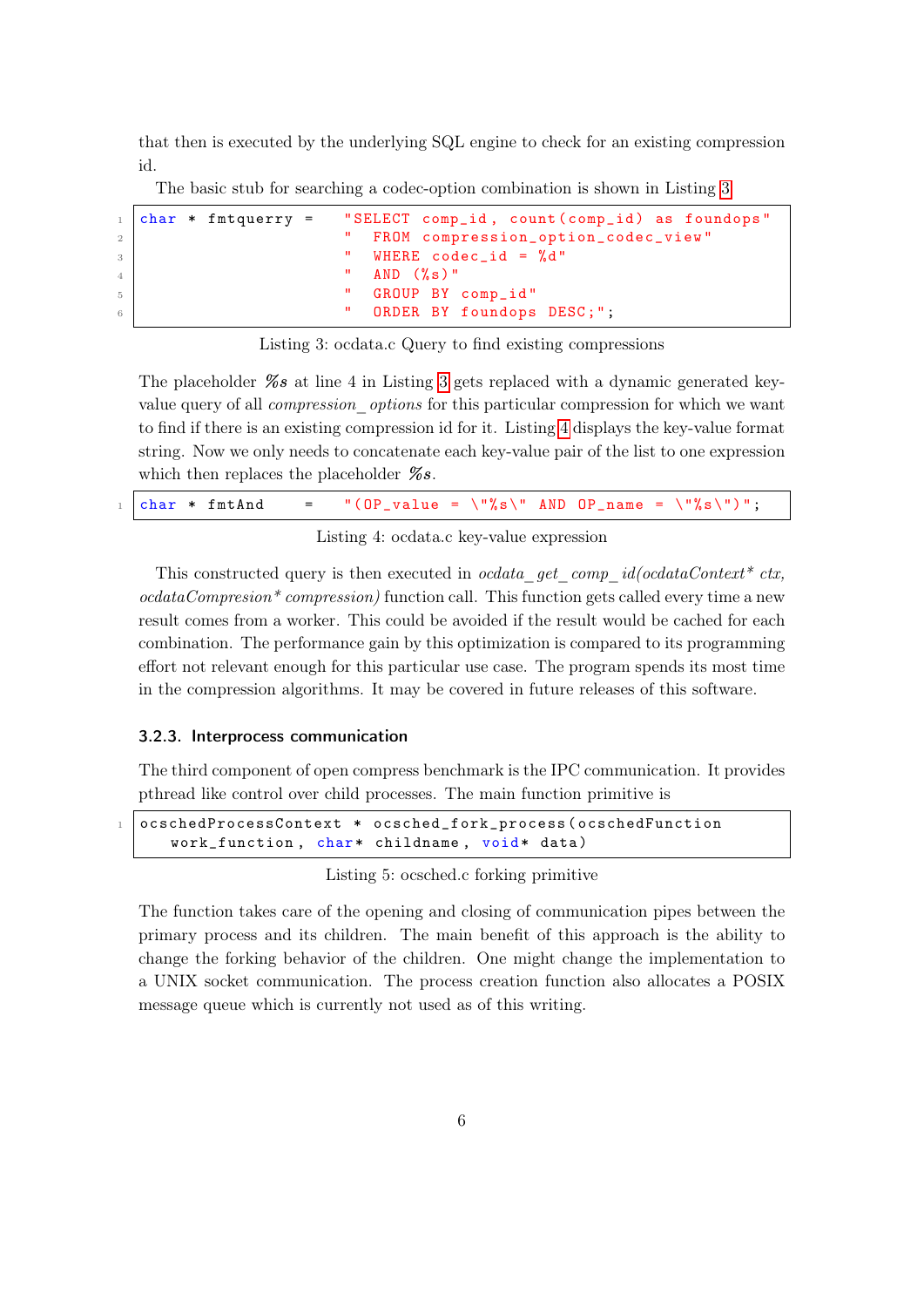that then is executed by the underlying SQL engine to check for an existing compression id.

The basic stub for searching a codec-option combination is shown in Listing [3](#page-5-1)

```
1 char * fmtquerry = "SELECT comp_id, count (comp_id) as foundops"
<sup>2</sup> " FROM compression_option_codec_view "<br>"
WHERE codec id = "d"
\overline{3} \overline{3} \overline{4} \overline{5} \overline{6} \overline{9} \overline{9} \overline{9} \overline{1} \overline{2} \overline{2} \overline{4} \overline{5} \overline{2} \overline{2} \overline{2} \overline{2} \overline{2} \overline{2} \overline{2} \overline{2} \overline{2} \overline{2} \overline{2} \overline{\frac{4}{4} \frac{1}{4} \frac{1}{4} \frac{1}{4} \frac{1}{4} \frac{1}{4} \frac{1}{4} \frac{1}{4} \frac{1}{4} \frac{1}{4} \frac{1}{4} \frac{1}{4} \frac{1}{4} \frac{1}{4} \frac{1}{4} \frac{1}{4} \frac{1}{4} \frac{1}{4} \frac{1}{4} \frac{1}{4} \frac{1}{4} \frac{1}{4} 5 | GROUP BY comp_id"
6 | CRDER BY foundops DESC;";
```
Listing 3: ocdata.c Query to find existing compressions

The placeholder  $\%s$  at line 4 in Listing [3](#page-5-1) gets replaced with a dynamic generated keyvalue query of all *compression options* for this particular compression for which we want to find if there is an existing compression id for it. Listing [4](#page-5-2) displays the key-value format string. Now we only needs to concatenate each key-value pair of the list to one expression which then replaces the placeholder  $\%s$ .

<span id="page-5-2"></span>

| $_1$ char * fmtAnd |  | $=$ "(OP_value = \"%s\" AND OP_name = \"%s\")"; |  |  |  |  |
|--------------------|--|-------------------------------------------------|--|--|--|--|
|--------------------|--|-------------------------------------------------|--|--|--|--|

Listing 4: ocdata.c key-value expression

This constructed query is then executed in *ocdata* get comp  $id(codataContext * ctx,$  $\textit{ocdataCompression}$ <sup>\*</sup> compression) function call. This function gets called every time a new result comes from a worker. This could be avoided if the result would be cached for each combination. The performance gain by this optimization is compared to its programming effort not relevant enough for this particular use case. The program spends its most time in the compression algorithms. It may be covered in future releases of this software.

#### <span id="page-5-0"></span>3.2.3. Interprocess communication

The third component of open compress benchmark is the IPC communication. It provides pthread like control over child processes. The main function primitive is

```
1 ocschedProcessContext * ocsched_fork_process ( ocschedFunction
   work_function, char* childname, void* data)
```
Listing 5: ocsched.c forking primitive

The function takes care of the opening and closing of communication pipes between the primary process and its children. The main benefit of this approach is the ability to change the forking behavior of the children. One might change the implementation to a UNIX socket communication. The process creation function also allocates a POSIX message queue which is currently not used as of this writing.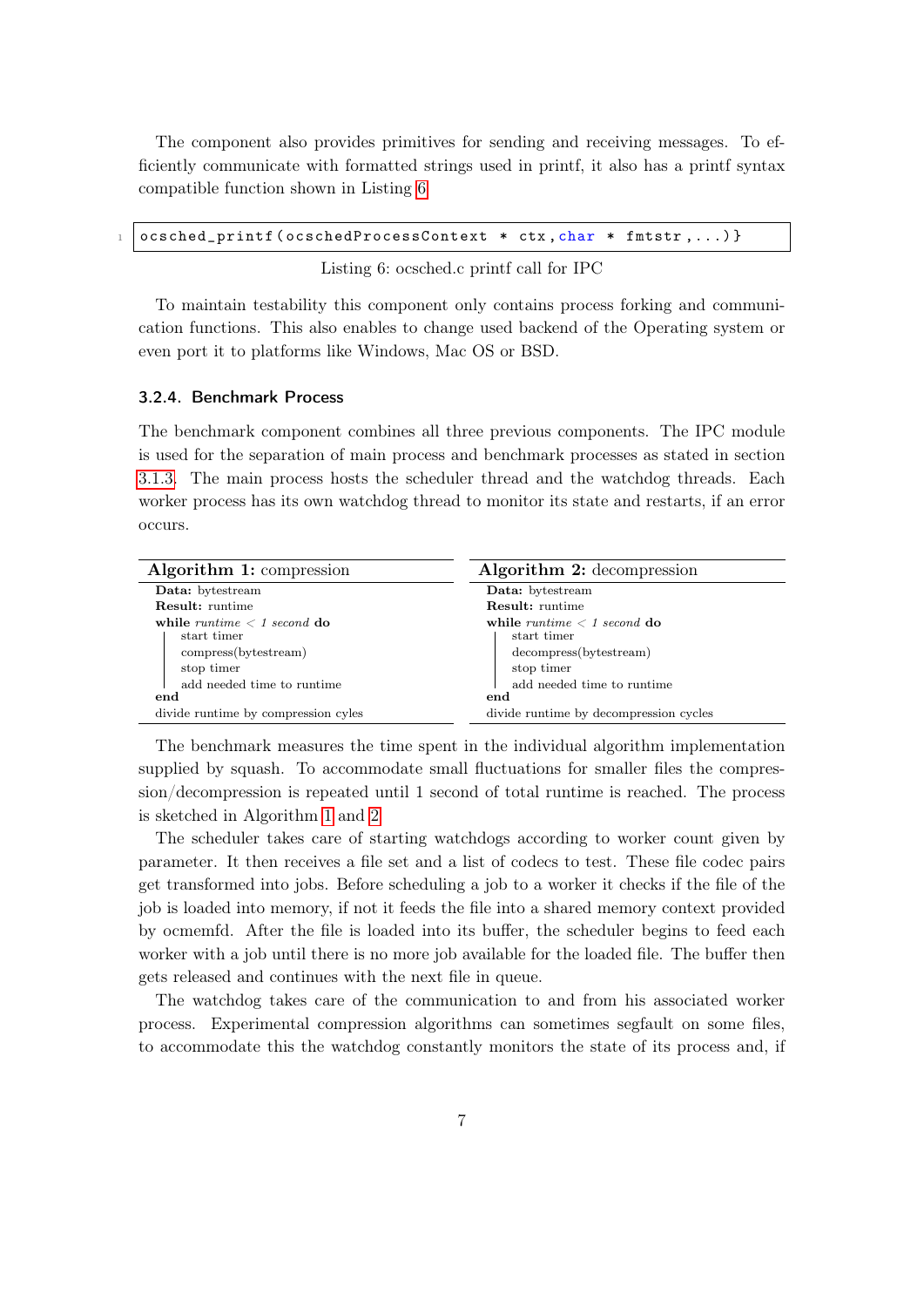The component also provides primitives for sending and receiving messages. To efficiently communicate with formatted strings used in printf, it also has a printf syntax compatible function shown in Listing [6](#page-6-1)

<span id="page-6-1"></span>ocsched\_printf ( ocschedProcessContext \* ctx, char \* fmtstr, ... ) }

Listing 6: ocsched.c printf call for IPC

To maintain testability this component only contains process forking and communication functions. This also enables to change used backend of the Operating system or even port it to platforms like Windows, Mac OS or BSD.

#### <span id="page-6-0"></span>3.2.4. Benchmark Process

The benchmark component combines all three previous components. The IPC module is used for the separation of main process and benchmark processes as stated in section [3.1.3.](#page-3-0) The main process hosts the scheduler thread and the watchdog threads. Each worker process has its own watchdog thread to monitor its state and restarts, if an error occurs.

| Algorithm 1: compression                                                                                                                                                             | Algorithm 2: decompression                                                                                                                                                                          |  |  |
|--------------------------------------------------------------------------------------------------------------------------------------------------------------------------------------|-----------------------------------------------------------------------------------------------------------------------------------------------------------------------------------------------------|--|--|
| Data: bytestream                                                                                                                                                                     | Data: bytestream                                                                                                                                                                                    |  |  |
| <b>Result:</b> runtime                                                                                                                                                               | <b>Result:</b> runtime                                                                                                                                                                              |  |  |
| while runtime $\langle 1 \text{ second do} \rangle$<br>start timer<br>compress(bytestream)<br>stop timer<br>add needed time to runtime<br>end<br>divide runtime by compression cyles | while runtime $\langle 1 \text{ second } d\mathbf{0} \rangle$<br>start timer<br>decompress(bytestream)<br>stop timer<br>add needed time to runtime<br>end<br>divide runtime by decompression cycles |  |  |

<span id="page-6-3"></span><span id="page-6-2"></span>The benchmark measures the time spent in the individual algorithm implementation supplied by squash. To accommodate small fluctuations for smaller files the compression/decompression is repeated until 1 second of total runtime is reached. The process is sketched in Algorithm [1](#page-6-2) and [2](#page-6-3)

The scheduler takes care of starting watchdogs according to worker count given by parameter. It then receives a file set and a list of codecs to test. These file codec pairs get transformed into jobs. Before scheduling a job to a worker it checks if the file of the job is loaded into memory, if not it feeds the file into a shared memory context provided by ocmemfd. After the file is loaded into its buffer, the scheduler begins to feed each worker with a job until there is no more job available for the loaded file. The buffer then gets released and continues with the next file in queue.

The watchdog takes care of the communication to and from his associated worker process. Experimental compression algorithms can sometimes segfault on some files, to accommodate this the watchdog constantly monitors the state of its process and, if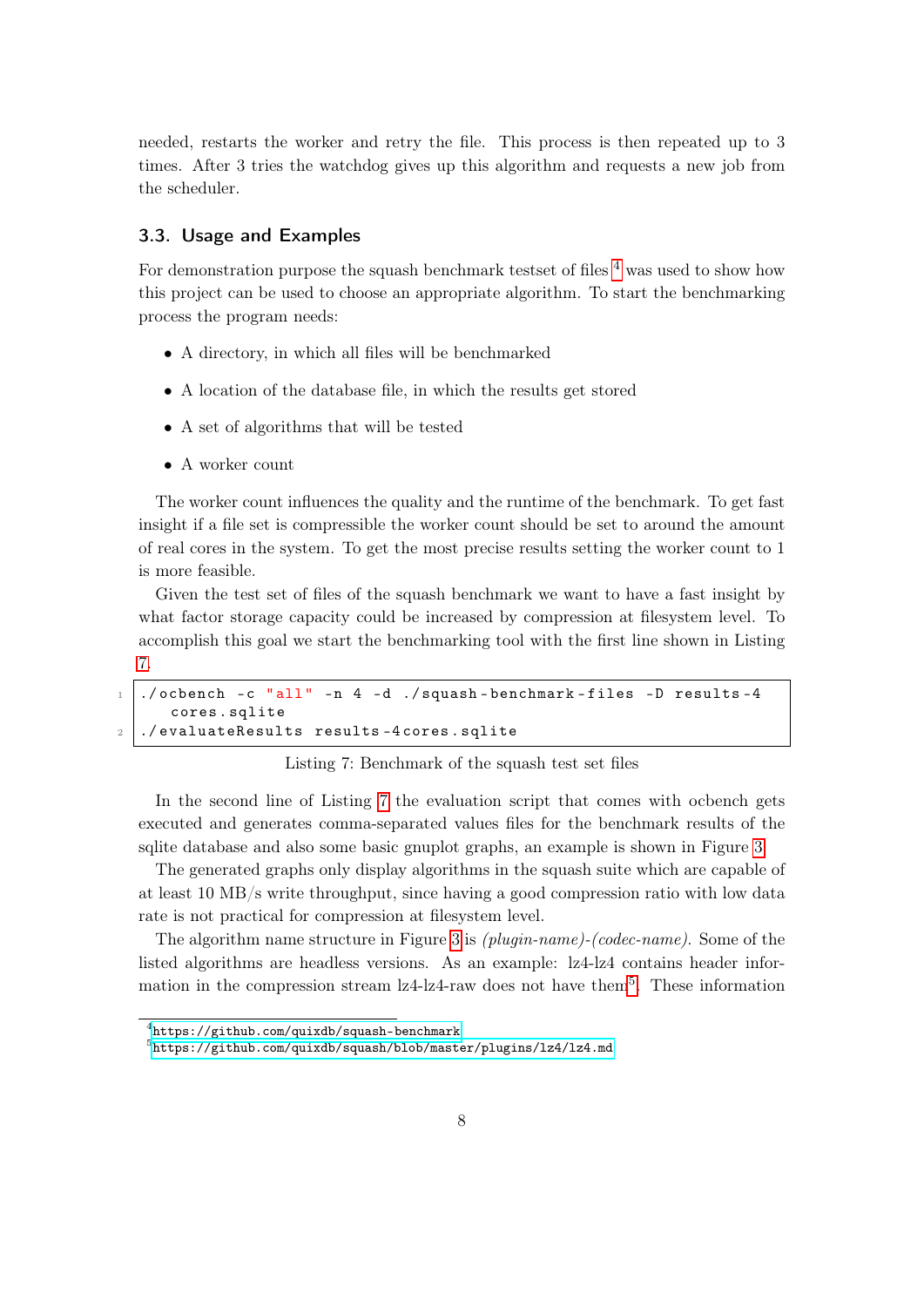needed, restarts the worker and retry the file. This process is then repeated up to 3 times. After 3 tries the watchdog gives up this algorithm and requests a new job from the scheduler.

#### <span id="page-7-0"></span>3.3. Usage and Examples

For demonstration purpose the squash benchmark testset of files  $4$  was used to show how this project can be used to choose an appropriate algorithm. To start the benchmarking process the program needs:

- A directory, in which all files will be benchmarked
- A location of the database file, in which the results get stored
- A set of algorithms that will be tested
- A worker count

The worker count influences the quality and the runtime of the benchmark. To get fast insight if a file set is compressible the worker count should be set to around the amount of real cores in the system. To get the most precise results setting the worker count to 1 is more feasible.

Given the test set of files of the squash benchmark we want to have a fast insight by what factor storage capacity could be increased by compression at filesystem level. To accomplish this goal we start the benchmarking tool with the first line shown in Listing [7.](#page-7-1)

```
_1 ./ocbench -c "all" -n 4 -d ./squash-benchmark-files -D results -4
     cores . sqlite
2 ./evaluateResults results-4 cores.sqlite
```
Listing 7: Benchmark of the squash test set files

In the second line of Listing [7](#page-7-1) the evaluation script that comes with ocbench gets executed and generates comma-separated values files for the benchmark results of the sqlite database and also some basic gnuplot graphs, an example is shown in Figure [3](#page-8-0)

The generated graphs only display algorithms in the squash suite which are capable of at least 10 MB/s write throughput, since having a good compression ratio with low data rate is not practical for compression at filesystem level.

The algorithm name structure in Figure [3](#page-8-0) is (plugin-name)-(codec-name). Some of the listed algorithms are headless versions. As an example: lz4-lz4 contains header information in the compression stream  $1z4$ -1z4-raw does not have them<sup>[5](#page-0-0)</sup>. These information

 $^4$ <https://github.com/quixdb/squash-benchmark>

 $^5$ <https://github.com/quixdb/squash/blob/master/plugins/lz4/lz4.md>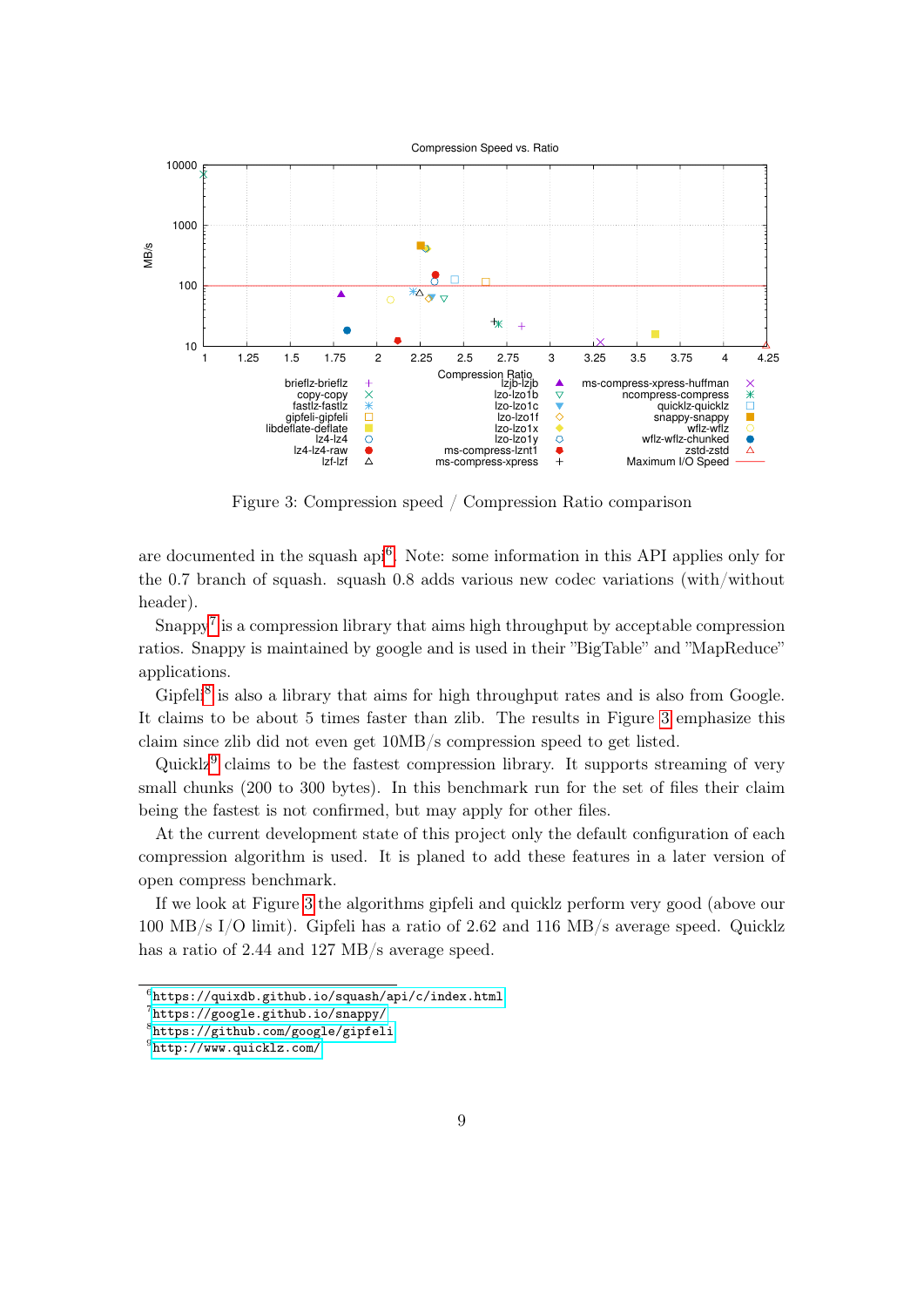

<span id="page-8-0"></span>Figure 3: Compression speed / Compression Ratio comparison

are documented in the squash api<sup>[6](#page-0-0)</sup>. Note: some information in this API applies only for the 0.7 branch of squash. squash 0.8 adds various new codec variations (with/without header).

Snappy<sup>[7](#page-0-0)</sup> is a compression library that aims high throughput by acceptable compression ratios. Snappy is maintained by google and is used in their "BigTable" and "MapReduce" applications.

Gipfeli<sup>[8](#page-0-0)</sup> is also a library that aims for high throughput rates and is also from Google. It claims to be about 5 times faster than zlib. The results in Figure [3](#page-8-0) emphasize this claim since zlib did not even get 10MB/s compression speed to get listed.

Quicklz<sup>[9](#page-0-0)</sup> claims to be the fastest compression library. It supports streaming of very small chunks (200 to 300 bytes). In this benchmark run for the set of files their claim being the fastest is not confirmed, but may apply for other files.

At the current development state of this project only the default configuration of each compression algorithm is used. It is planed to add these features in a later version of open compress benchmark.

If we look at Figure [3](#page-8-0) the algorithms gipfeli and quicklz perform very good (above our 100 MB/s I/O limit). Gipfeli has a ratio of 2.62 and 116 MB/s average speed. Quicklz has a ratio of 2.44 and 127 MB/s average speed.

 $^6$ <https://quixdb.github.io/squash/api/c/index.html>

<sup>7</sup> <https://google.github.io/snappy/>

<sup>8</sup> <https://github.com/google/gipfeli>

<sup>9</sup> <http://www.quicklz.com/>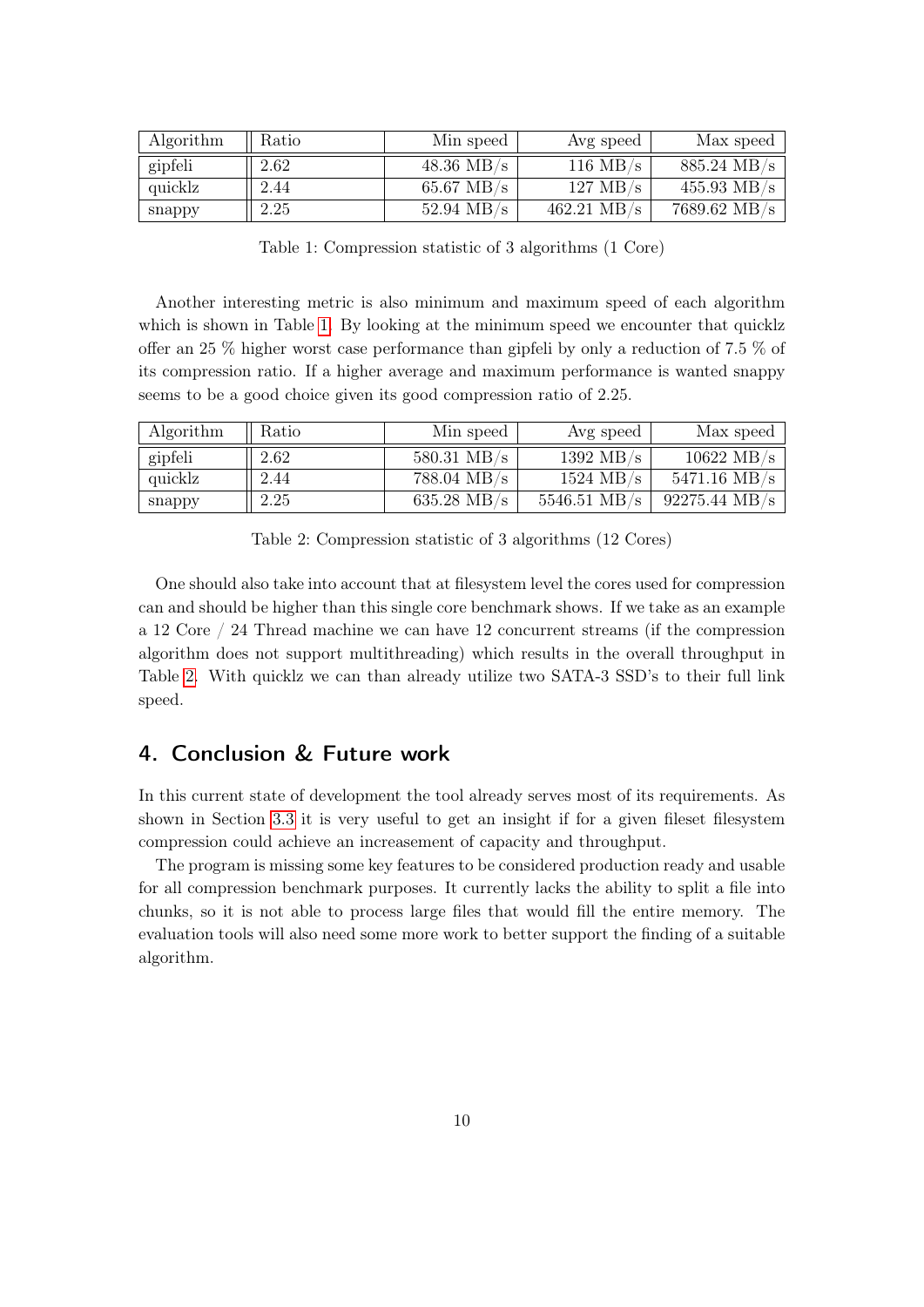| Algorithm | Ratio | Min speed            | Avg speed             | Max speed              |
|-----------|-------|----------------------|-----------------------|------------------------|
| gipfeli   | 2.62  | $48.36$ MB/s         | $116 \text{ MB/s}$    | $885.24 \text{ MB/s}$  |
| quicklz   | 2.44  | $65.67 \text{ MB/s}$ | $127 \text{ MB/s}$    | $455.93$ MB/s          |
| snappy    | 2.25  | $52.94 \text{ MB/s}$ | $462.21 \text{ MB/s}$ | $7689.62 \text{ MB/s}$ |

<span id="page-9-1"></span>Table 1: Compression statistic of 3 algorithms (1 Core)

Another interesting metric is also minimum and maximum speed of each algorithm which is shown in Table [1.](#page-9-1) By looking at the minimum speed we encounter that quicklz offer an 25 % higher worst case performance than gipfeli by only a reduction of 7.5 % of its compression ratio. If a higher average and maximum performance is wanted snappy seems to be a good choice given its good compression ratio of 2.25.

| Algorithm | Ratio | Min speed             | Avg speed              | Max speed               |
|-----------|-------|-----------------------|------------------------|-------------------------|
| gipfeli   | 2.62  | $580.31$ MB/s         | 1392 MB/s              | $10622 \text{ MB/s}$    |
| quicklz   | 2.44  | $788.04 \text{ MB/s}$ | $1524 \text{ MB/s}$    | $5471.16 \text{ MB/s}$  |
| snappy    | 2.25  | $635.28$ MB/s         | $5546.51 \text{ MB/s}$ | $92275.44 \text{ MB/s}$ |

<span id="page-9-2"></span>Table 2: Compression statistic of 3 algorithms (12 Cores)

One should also take into account that at filesystem level the cores used for compression can and should be higher than this single core benchmark shows. If we take as an example a 12 Core / 24 Thread machine we can have 12 concurrent streams (if the compression algorithm does not support multithreading) which results in the overall throughput in Table [2.](#page-9-2) With quicklz we can than already utilize two SATA-3 SSD's to their full link speed.

### <span id="page-9-0"></span>4. Conclusion & Future work

In this current state of development the tool already serves most of its requirements. As shown in Section [3.3](#page-7-0) it is very useful to get an insight if for a given fileset filesystem compression could achieve an increasement of capacity and throughput.

The program is missing some key features to be considered production ready and usable for all compression benchmark purposes. It currently lacks the ability to split a file into chunks, so it is not able to process large files that would fill the entire memory. The evaluation tools will also need some more work to better support the finding of a suitable algorithm.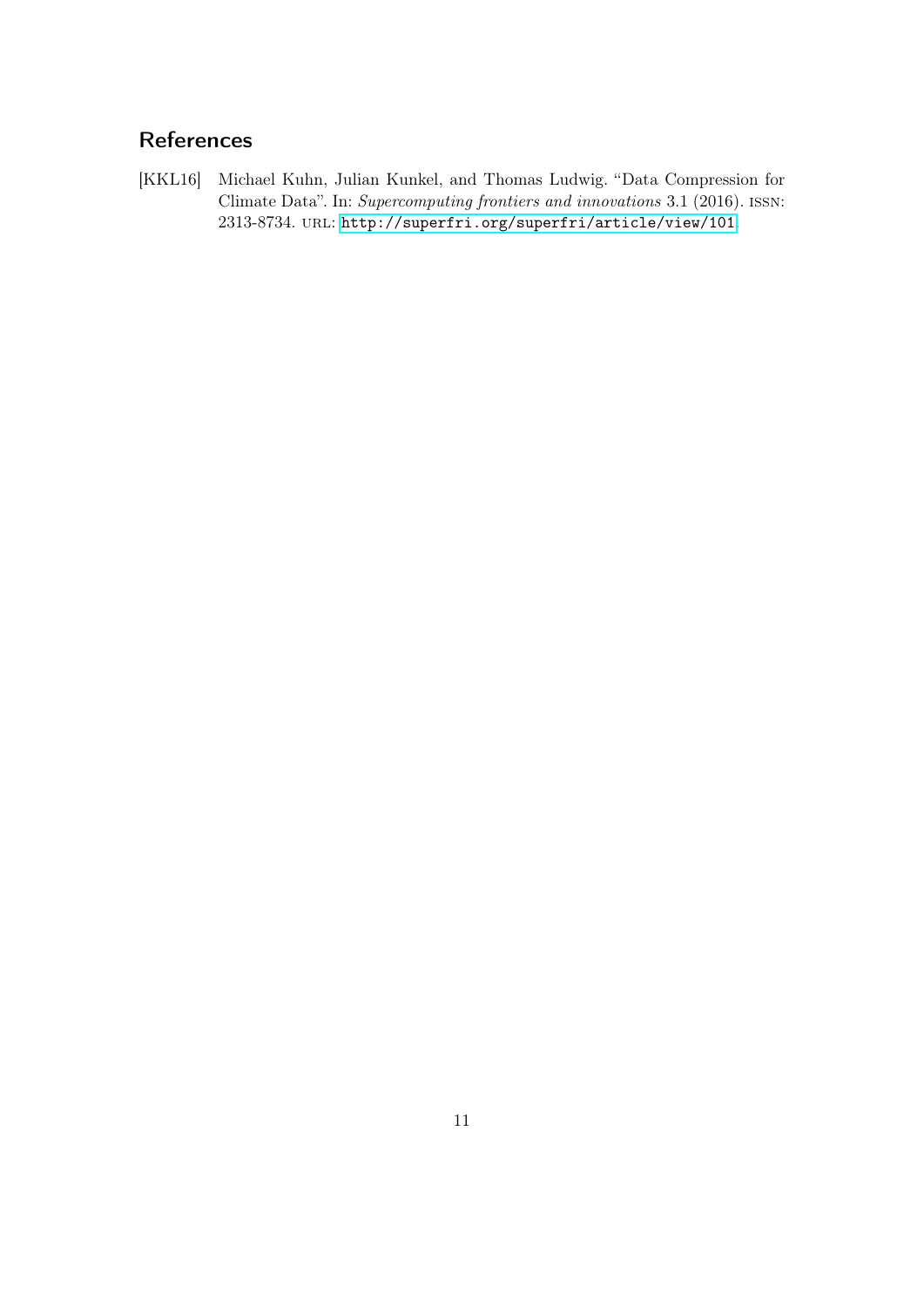# References

<span id="page-10-0"></span>[KKL16] Michael Kuhn, Julian Kunkel, and Thomas Ludwig. "Data Compression for Climate Data". In: Supercomputing frontiers and innovations 3.1 (2016). issn: 2313-8734. url: <http://superfri.org/superfri/article/view/101>.